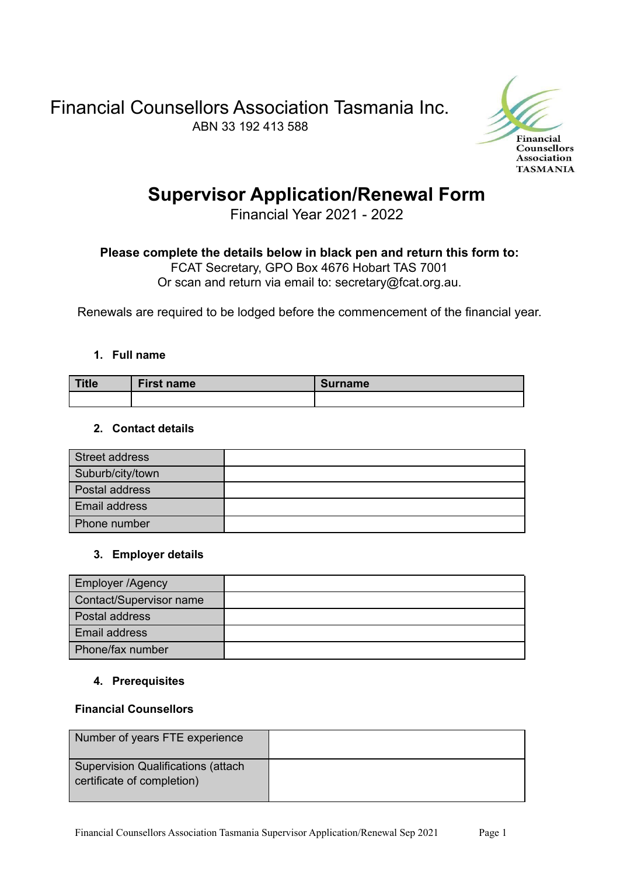Financial Counsellors Association Tasmania Inc. ABN 33 192 413 588



# **Supervisor Application/Renewal Form**

Financial Year 2021 - 2022

## **Please complete the details below in black pen and return this form to:**

FCAT Secretary, GPO Box 4676 Hobart TAS 7001

Or scan and return via email to: secretary@fcat.org.au.

Renewals are required to be lodged before the commencement of the financial year.

### **1. Full name**

| Title | <b>First name</b> | <b>Surname</b> |
|-------|-------------------|----------------|
|       |                   |                |

### **2. Contact details**

| Street address   |  |
|------------------|--|
| Suburb/city/town |  |
| Postal address   |  |
| Email address    |  |
| Phone number     |  |

### **3. Employer details**

| <b>Employer /Agency</b> |  |
|-------------------------|--|
| Contact/Supervisor name |  |
| Postal address          |  |
| Email address           |  |
| Phone/fax number        |  |

### **4. Prerequisites**

### **Financial Counsellors**

| Number of years FTE experience                                           |  |
|--------------------------------------------------------------------------|--|
| <b>Supervision Qualifications (attach)</b><br>certificate of completion) |  |